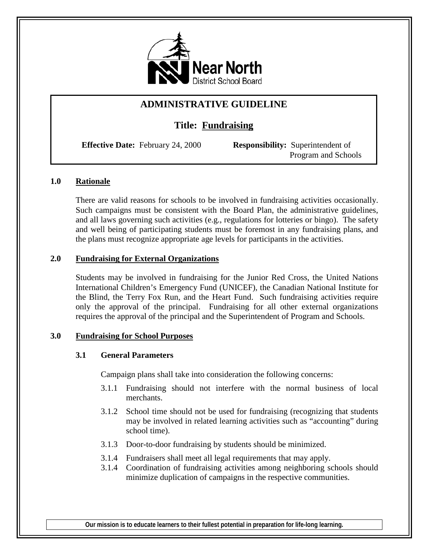

## **ADMINISTRATIVE GUIDELINE**

# **Title: Fundraising**

**Effective Date:** February 24, 2000 **Responsibility:** Superintendent of

Program and Schools

## **1.0 Rationale**

There are valid reasons for schools to be involved in fundraising activities occasionally. Such campaigns must be consistent with the Board Plan, the administrative guidelines, and all laws governing such activities (e.g., regulations for lotteries or bingo). The safety and well being of participating students must be foremost in any fundraising plans, and the plans must recognize appropriate age levels for participants in the activities.

## **2.0 Fundraising for External Organizations**

Students may be involved in fundraising for the Junior Red Cross, the United Nations International Children's Emergency Fund (UNICEF), the Canadian National Institute for the Blind, the Terry Fox Run, and the Heart Fund. Such fundraising activities require only the approval of the principal. Fundraising for all other external organizations requires the approval of the principal and the Superintendent of Program and Schools.

### **3.0 Fundraising for School Purposes**

### **3.1 General Parameters**

Campaign plans shall take into consideration the following concerns:

- 3.1.1 Fundraising should not interfere with the normal business of local merchants.
- 3.1.2 School time should not be used for fundraising (recognizing that students may be involved in related learning activities such as "accounting" during school time).
- 3.1.3 Door-to-door fundraising by students should be minimized.
- 3.1.4 Fundraisers shall meet all legal requirements that may apply.
- 3.1.4 Coordination of fundraising activities among neighboring schools should minimize duplication of campaigns in the respective communities.

**Our mission is to educate learners to their fullest potential in preparation for life-long learning.**